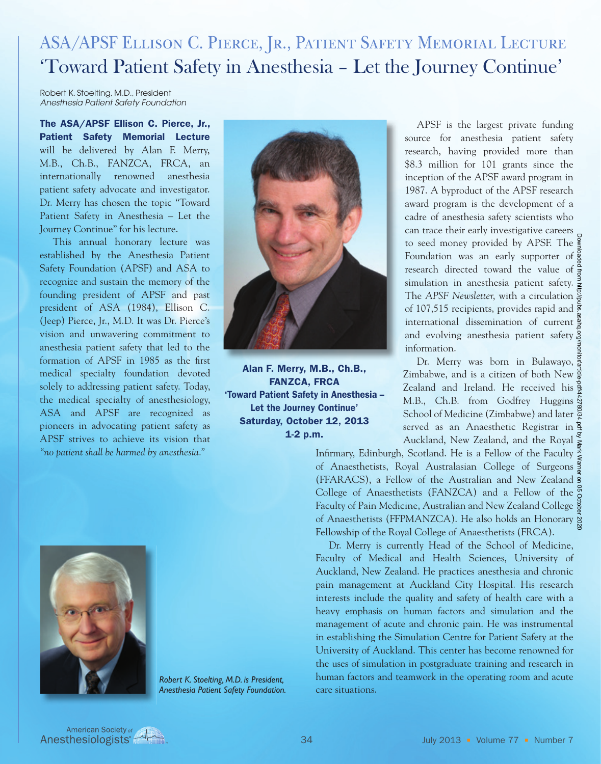### ASA/APSF Ellison C. Pierce, Jr., Patient Safety Memorial Lecture 'Toward Patient Safety in Anesthesia – Let the Journey Continue'

Robert K. Stoelting, M.D., President *Anesthesia Patient Safety Foundation*

The ASA/APSF Ellison C. Pierce, Jr., Patient Safety Memorial Lecture will be delivered by Alan F. Merry, M.B., Ch.B., FANZCA, FRCA, an internationally renowned anesthesia patient safety advocate and investigator. Dr. Merry has chosen the topic "Toward Patient Safety in Anesthesia – Let the Journey Continue" for his lecture.

 This annual honorary lecture was established by the Anesthesia Patient Safety Foundation (APSF) and ASA to recognize and sustain the memory of the founding president of APSF and past president of ASA (1984), Ellison C. (Jeep) Pierce, Jr., M.D. It was Dr. Pierce's vision and unwavering commitment to anesthesia patient safety that led to the formation of APSF in 1985 as the first medical specialty foundation devoted solely to addressing patient safety. Today, the medical specialty of anesthesiology, ASA and APSF are recognized as pioneers in advocating patient safety as APSF strives to achieve its vision that *"no patient shall be harmed by anesthesia."*



Alan F. Merry, M.B., Ch.B., FANZCA, FRCA 'Toward Patient Safety in Anesthesia – Let the Journey Continue' Saturday, October 12, 2013 1-2 p.m.



*Robert K. Stoelting, M.D. is President, Anesthesia Patient Safety Foundation.*

 APSF is the largest private funding source for anesthesia patient safety research, having provided more than \$8.3 million for 101 grants since the inception of the APSF award program in 1987. A byproduct of the APSF research award program is the development of a cadre of anesthesia safety scientists who can trace their early investigative careers to seed money provided by APSF. The Foundation was an early supporter of  $\frac{8}{6}$ research directed toward the value of simulation in anesthesia patient safety. The *APSF Newsletter*, with a circulation of 107,515 recipients, provides rapid and international dissemination of current and evolving anesthesia patient safety.<sup>8</sup> information. Downloaded from http://pubs.asahq.org/monitor/article-pdf/442780/34.pdf by Mark Warner on 05 October 2020

Dr. Merry was born in Bulawayo, Zimbabwe, and is a citizen of both New Zealand and Ireland. He received his M.B., Ch.B. from Godfrey Huggins  $\frac{1}{2}$ School of Medicine (Zimbabwe) and later served as an Anaesthetic Registrar in Auckland, New Zealand, and the Royal

Infirmary, Edinburgh, Scotland. He is a Fellow of the Faculty of Anaesthetists, Royal Australasian College of Surgeons (FFARACS), a Fellow of the Australian and New Zealand College of Anaesthetists (FANZCA) and a Fellow of the  $\frac{5}{6}$ Faculty of Pain Medicine, Australian and New Zealand College of Anaesthetists (FFPMANZCA). He also holds an Honorary Fellowship of the Royal College of Anaesthetists (FRCA).

 Dr. Merry is currently Head of the School of Medicine, Faculty of Medical and Health Sciences, University of Auckland, New Zealand. He practices anesthesia and chronic pain management at Auckland City Hospital. His research interests include the quality and safety of health care with a heavy emphasis on human factors and simulation and the management of acute and chronic pain. He was instrumental in establishing the Simulation Centre for Patient Safety at the University of Auckland. This center has become renowned for the uses of simulation in postgraduate training and research in human factors and teamwork in the operating room and acute care situations.